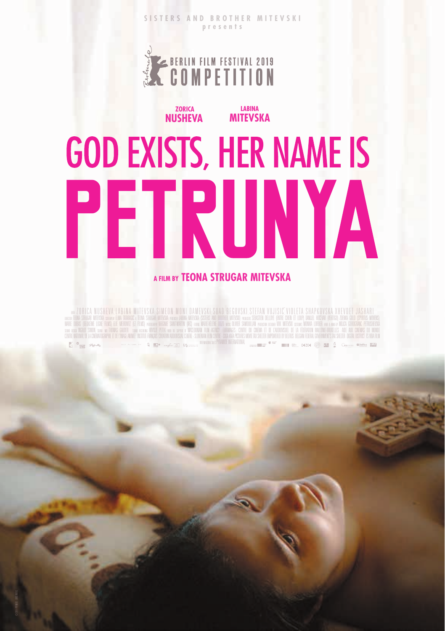**SISTERS AND BROTHER MITEVSKI presents**

**LABINA**

## **COMPETITION**

 **ZORICA**

## **NUSHEVA MITEVSKA GOD EXISTS, HER NAME IS** PETRUNYA **A FILM BY TEONA STRUGAR MITEVSKA**

m ZORICA NUSHEVA LABINA MITEVSKA SIMEON MONI DAMEVSKI SUAD BEGOVSKI STEFAN VUJISIC VIOLETA SHAPKOVSKA XHEVDET JASHAR<br>«Tha shica wirka waa haa taabel tha shica anka anka hika mikka koks an koha mikka wax sakin dilin and ka 100 Ruine en mensurment in de een de terming van de provincie van de de eeuwe van de geween.<br>De Staat 1444 de later van de terming de begin de gewoon werd van de staat de terming van de terming van de de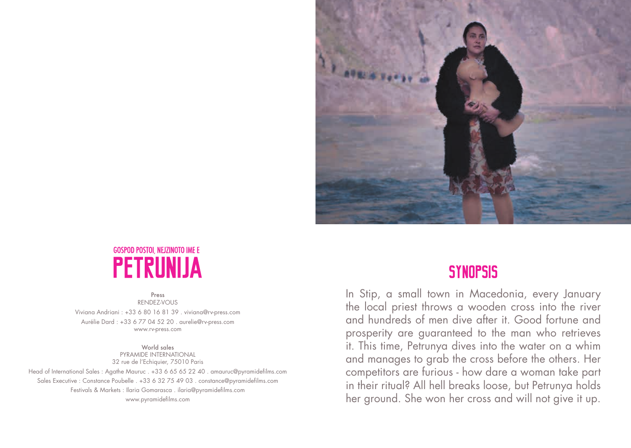



Press RENDEZ-VOUS Viviana Andriani : +33 6 80 16 81 39 . viviana@rv-press.com Aurélie Dard : +33 6 77 04 52 20 . aurelie@rv-press.com www.rv-press.com

World sales PYRAMIDE INTERNATIONAL 32 rue de l'Echiquier, 75010 Paris Head of International Sales : Agathe Mauruc . +33 6 65 65 22 40 . amauruc@pyramidefilms.com Sales Executive : Constance Poubelle . +33 6 32 75 49 03 . constance@pyramidefilms.com Festivals & Markets : Ilaria Gomarasca . ilaria@pyramidefilms.com www.pyramidefilms.com

### **SYNOPSIS**

In Stip, a small town in Macedonia, every January the local priest throws a wooden cross into the river and hundreds of men dive after it. Good fortune and prosperity are guaranteed to the man who retrieves it. This time, Petrunya dives into the water on a whim and manages to grab the cross before the others. Her competitors are furious - how dare a woman take part in their ritual? All hell breaks loose, but Petrunya holds her ground. She won her cross and will not give it up.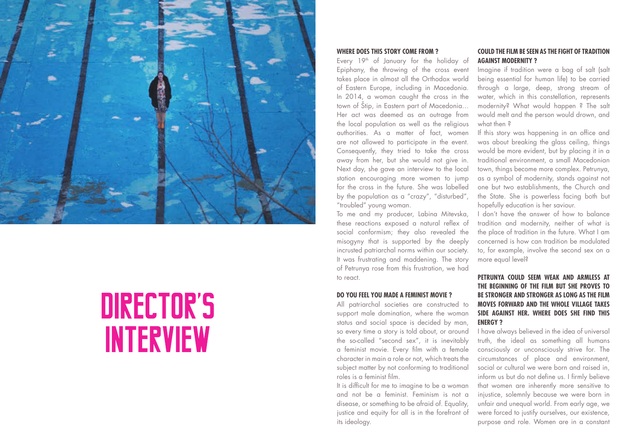

# DIRECTOR'S **INTERVIEW**

#### **WHERE DOES THIS STORY COME FROM ?**

Every 19<sup>th</sup> of January for the holiday of Epiphany, the throwing of the cross event takes place in almost all the Orthodox world of Eastern Europe, including in Macedonia. In 2014, a woman caught the cross in the town of Štip, in Eastern part of Macedonia… Her act was deemed as an outrage from the local population as well as the religious authorities. As a matter of fact, women are not allowed to participate in the event. Consequently, they tried to take the cross away from her, but she would not give in. Next day, she gave an interview to the local station encouraging more women to jump for the cross in the future. She was labelled by the population as a "crazy", "disturbed", "troubled" young woman.

To me and my producer, Labina Mitevska, these reactions exposed a natural reflex of social conformism; they also revealed the misogyny that is supported by the deeply incrusted patriarchal norms within our society. It was frustrating and maddening. The story of Petrunya rose from this frustration, we had to react.

#### **DO YOU FEEL YOU MADE A FEMINIST MOVIE ?**

All patriarchal societies are constructed to support male domination, where the woman status and social space is decided by man, so every time a story is told about, or around the so-called "second sex", it is inevitably a feminist movie. Every film with a female character in main a role or not, which treats the subject matter by not conforming to traditional roles is a feminist film.

It is difficult for me to imagine to be a woman and not be a feminist. Feminism is not a disease, or something to be afraid of. Equality, justice and equity for all is in the forefront of its ideology.

#### **COULD THE FILM BE SEEN AS THE FIGHT OF TRADITION AGAINST MODERNITY ?**

Imagine if tradition were a bag of salt (salt being essential for human life) to be carried through a large, deep, strong stream of water, which in this constellation, represents modernity? What would happen ? The salt would melt and the person would drown, and what then ?

If this story was happening in an office and was about breaking the glass ceiling, things would be more evident, but by placing it in a traditional environment, a small Macedonian town, things become more complex. Petrunya, as a symbol of modernity, stands against not one but two establishments, the Church and the State. She is powerless facing both but hopefully education is her saviour.

I don't have the answer of how to balance tradition and modernity, neither of what is the place of tradition in the future. What I am concerned is how can tradition be modulated to, for example, involve the second sex on a more equal level?

#### **PETRUNYA COULD SEEM WEAK AND ARMLESS AT THE BEGINNING OF THE FILM BUT SHE PROVES TO BE STRONGER AND STRONGER AS LONG AS THE FILM MOVES FORWARD AND THE WHOLE VILLAGE TAKES SIDE AGAINST HER. WHERE DOES SHE FIND THIS ENERGY ?**

I have always believed in the idea of universal truth, the ideal as something all humans consciously or unconsciously strive for. The circumstances of place and environment, social or cultural we were born and raised in, inform us but do not define us. I firmly believe that women are inherently more sensitive to injustice, solemnly because we were born in unfair and unequal world. From early age, we were forced to justify ourselves, our existence, purpose and role. Women are in a constant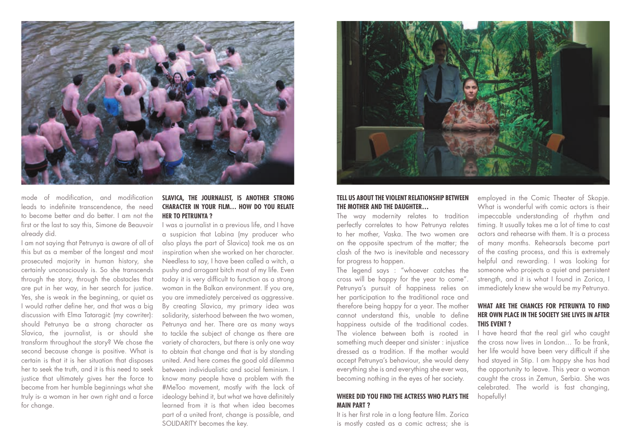

mode of modification, and modification leads to indefinite transcendence, the need to become better and do better. I am not the first or the last to say this, Simone de Beauvoir already did.

I am not saying that Petrunya is aware of all of this but as a member of the longest and most prosecuted majority in human history, she certainly unconsciously is. So she transcends through the story, through the obstacles that are put in her way, in her search for justice. Yes, she is weak in the beginning, or quiet as I would rather define her, and that was a big discussion with Elma Tataragic (my cowriter): should Petrunya be a strong character as Slavica, the journalist, is or should she transform throughout the story? We chose the second because change is positive. What is certain is that it is her situation that disposes her to seek the truth, and it is this need to seek justice that ultimately gives her the force to become from her humble beginnings what she truly is- a woman in her own right and a force for change.

#### **SLAVICA, THE JOURNALIST, IS ANOTHER STRONG CHARACTER IN YOUR FILM… HOW DO YOU RELATE HER TO PETRUNYA ?**

I was a journalist in a previous life, and I have a suspicion that Labina (my producer who also plays the part of Slavica) took me as an inspiration when she worked on her character. Needless to say, I have been called a witch, a pushy and arrogant bitch most of my life. Even today it is very difficult to function as a strong woman in the Balkan environment. If you are, you are immediately perceived as aggressive. By creating Slavica, my primary idea was solidarity, sisterhood between the two women, Petrunya and her. There are as many ways to tackle the subject of change as there are variety of characters, but there is only one way to obtain that change and that is by standing united. And here comes the good old dilemma between individualistic and social feminism. I know many people have a problem with the #MeToo movement, mostly with the lack of ideology behind it, but what we have definitely learned from it is that when idea becomes part of a united front, change is possible, and SOLIDARITY becomes the key.



#### **TELL US ABOUT THE VIOLENT RELATIONSHIP BETWEEN THE MOTHER AND THE DAUGHTER…**

The way modernity relates to tradition perfectly correlates to how Petrunya relates to her mother, Vaska. The two women are on the opposite spectrum of the matter; the clash of the two is inevitable and necessary for progress to happen.

The legend says : "whoever catches the cross will be happy for the year to come". Petrunya's pursuit of happiness relies on her participation to the traditional race and therefore being happy for a year. The mother cannot understand this, unable to define happiness outside of the traditional codes. The violence between both is rooted in something much deeper and sinister : injustice dressed as a tradition. If the mother would accept Petrunya's behaviour, she would deny everything she is and everything she ever was, becoming nothing in the eyes of her society.

#### **WHERE DID YOU FIND THE ACTRESS WHO PLAYS THE MAIN PART ?**

It is her first role in a long feature film. Zorica is mostly casted as a comic actress; she is employed in the Comic Theater of Skopje. What is wonderful with comic actors is their impeccable understanding of rhythm and timing. It usually takes me a lot of time to cast actors and rehearse with them. It is a process of many months. Rehearsals become part of the casting process, and this is extremely helpful and rewarding. I was looking for someone who projects a quiet and persistent strength, and it is what I found in Zorica, I immediately knew she would be my Petrunya.

#### **WHAT ARE THE CHANCES FOR PETRUNYA TO FIND HER OWN PLACE IN THE SOCIETY SHE LIVES IN AFTER THIS EVENT ?**

I have heard that the real girl who caught the cross now lives in London… To be frank, her life would have been very difficult if she had stayed in Stip. I am happy she has had the opportunity to leave. This year a woman caught the cross in Zemun, Serbia. She was celebrated. The world is fast changing, hopefully!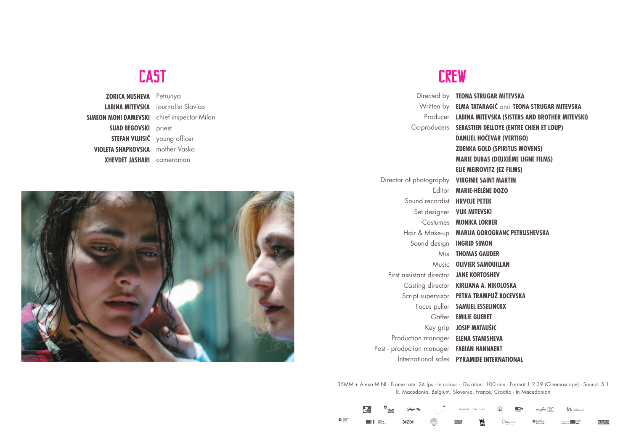## **CAST**

**ZORICA NUSHEVA** Petrunya **LABINA MITEVSKA** journalist Slavica **SIMEON MONI DAMEVSKI** chief inspector Milan **SUAD BEGOVSKI** priest **STEFAN VUJISIC** young officer **VIOLETA SHAPKOVSKA** mother Vaska **XHEVDET JASHARI** cameraman



### **CREW**

|                                               | Directed by <b>TEONA STRUGAR MITEVSKA</b>               |
|-----------------------------------------------|---------------------------------------------------------|
|                                               | Written by ELMA TATARAGIĆ and TEONA STRUGAR MITEVSKA    |
|                                               | Producer LABINA MITEVSKA (SISTERS AND BROTHER MITEVSKI) |
|                                               | Co-producers SEBASTIEN DELLOYE (ENTRE CHIEN ET LOUP)    |
|                                               | <b>DANIJEL HOČEVAR (VERTIGO)</b>                        |
|                                               | <b>ZDENKA GOLD (SPIRITUS MOVENS)</b>                    |
|                                               | <b>MARIE DUBAS (DEUXIÈME LIGNE FILMS)</b>               |
|                                               | <b>ELIE MEIROVITZ (EZ FILMS)</b>                        |
| Director of photography VIRGINIE SAINT MARTIN |                                                         |
|                                               | Editor MARIE-HÉLÈNE DOZO                                |
| Sound recordist HRVOJE PETEK                  |                                                         |
|                                               | Set designer <b>VUK MITEVSKI</b>                        |
|                                               | Costumes <b>MONIKA LORBER</b>                           |
|                                               | Hair & Make-up MARIJA GOROGRANC PETRUSHEVSKA            |
| Sound design <b>INGRID SIMON</b>              |                                                         |
|                                               | Mix THOMAS GAUDER                                       |
|                                               | Music OLIVIER SAMOUILLAN                                |
| First assistant director JANE KORTOSHEV       |                                                         |
|                                               | Casting director KIRIJANA A. NIKOLOSKA                  |
|                                               | Script supervisor PETRA TRAMPUŽ BOCEVSKA                |
|                                               | Focus puller SAMUEL ESSELINCKX                          |
|                                               | Gaffer EMILIE GUERET                                    |
|                                               | Key grip JOSIP MATAUŠIC                                 |
| Production manager ELENA STANISHEVA           |                                                         |
| Post - production manager FABIAN HANNAERT     |                                                         |
|                                               | International sales PYRAMIDE INTERNATIONAL              |

35MM + Alexa MINI - Frame rate: 24 fps - In colour - Duration: 100 min - Format 1:2.39 (Cinemascope) - Sound: 5.1 R. Macedonia, Belgium, Slovenia, France, Croatia - In Macedonian

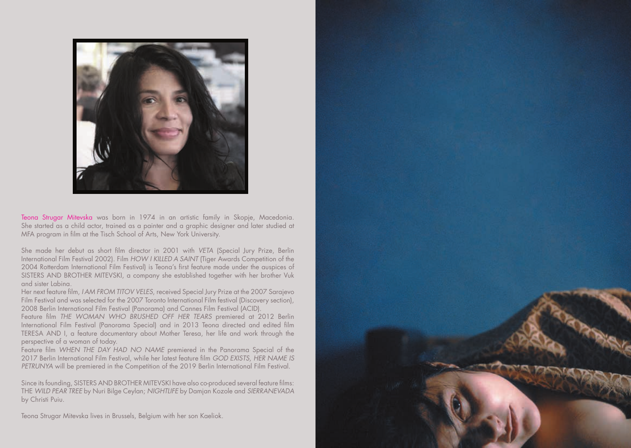

Teona Strugar Mitevska was born in 1974 in an artistic family in Skopje, Macedonia. She started as a child actor, trained as a painter and a graphic designer and later studied at MFA program in film at the Tisch School of Arts, New York University.

She made her debut as short film director in 2001 with *VETA* (Special Jury Prize, Berlin International Film Festival 2002). Film *HOW I KILLED A SAINT* (Tiger Awards Competition of the 2004 Rotterdam International Film Festival) is Teona's first feature made under the auspices of SISTERS AND BROTHER MITEVSKI, a company she established together with her brother Vuk and sister Labina.

Her next feature film, *I AM FROM TITOV VELES*, received Special Jury Prize at the 2007 Sarajevo Film Festival and was selected for the 2007 Toronto International Film festival (Discovery section), 2008 Berlin International Film Festival (Panorama) and Cannes Film Festival (ACID).

Feature film *THE WOMAN WHO BRUSHED OFF HER TEARS* premiered at 2012 Berlin International Film Festival (Panorama Special) and in 2013 Teona directed and edited film TERESA AND I, a feature documentary about Mother Teresa, her life and work through the perspective of a woman of today.

Feature film *WHEN THE DAY HAD NO NAME* premiered in the Panorama Special of the 2017 Berlin International Film Festival, while her latest feature film *GOD EXISTS, HER NAME IS PETRUNYA* will be premiered in the Competition of the 2019 Berlin International Film Festival.

Since its founding, SISTERS AND BROTHER MITEVSKI have also co-produced several feature films: THE *WILD PEAR TREE* by Nuri Bilge Ceylan; *NIGHTLIFE* by Damjan Kozole and *SIERRANEVADA* by Christi Puiu.

Teona Strugar Mitevska lives in Brussels, Belgium with her son Kaeliok.